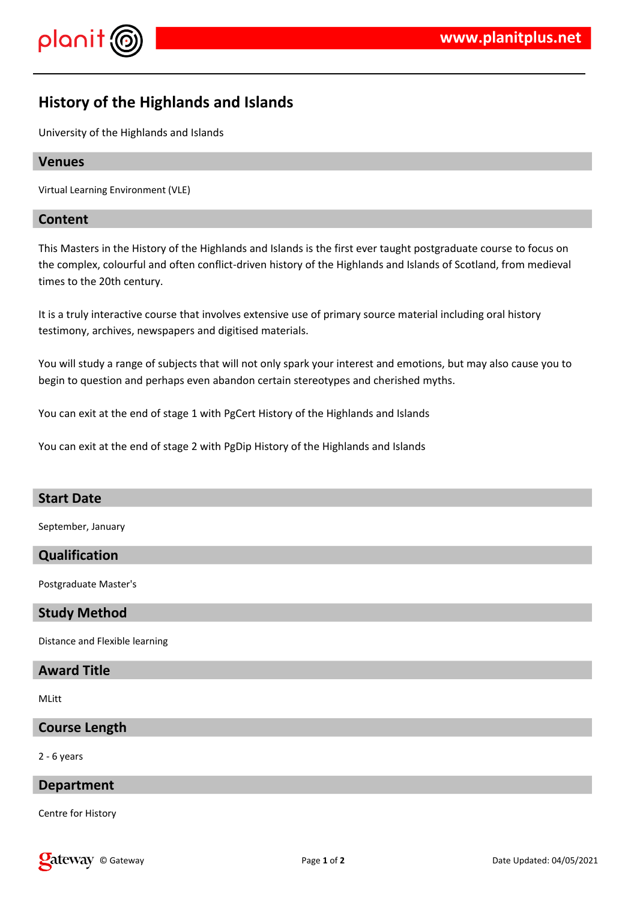



# **History of the Highlands and Islands**

University of the Highlands and Islands

# **Venues**

Virtual Learning Environment (VLE)

# **Content**

This Masters in the History of the Highlands and Islands is the first ever taught postgraduate course to focus on the complex, colourful and often conflict-driven history of the Highlands and Islands of Scotland, from medieval times to the 20th century.

It is a truly interactive course that involves extensive use of primary source material including oral history testimony, archives, newspapers and digitised materials.

You will study a range of subjects that will not only spark your interest and emotions, but may also cause you to begin to question and perhaps even abandon certain stereotypes and cherished myths.

You can exit at the end of stage 1 with PgCert History of the Highlands and Islands

You can exit at the end of stage 2 with PgDip History of the Highlands and Islands

# **Start Date**

September, January

# **Qualification**

Postgraduate Master's

# **Study Method**

Distance and Flexible learning

# **Award Title**

MLitt

# **Course Length**

2 - 6 years

#### **Department**

Centre for History